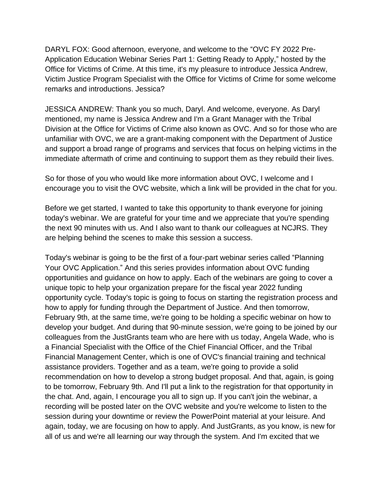DARYL FOX: Good afternoon, everyone, and welcome to the "OVC FY 2022 Pre-Application Education Webinar Series Part 1: Getting Ready to Apply," hosted by the Office for Victims of Crime. At this time, it's my pleasure to introduce Jessica Andrew, Victim Justice Program Specialist with the Office for Victims of Crime for some welcome remarks and introductions. Jessica?

JESSICA ANDREW: Thank you so much, Daryl. And welcome, everyone. As Daryl mentioned, my name is Jessica Andrew and I'm a Grant Manager with the Tribal Division at the Office for Victims of Crime also known as OVC. And so for those who are unfamiliar with OVC, we are a grant-making component with the Department of Justice and support a broad range of programs and services that focus on helping victims in the immediate aftermath of crime and continuing to support them as they rebuild their lives.

So for those of you who would like more information about OVC, I welcome and I encourage you to visit the OVC website, which a link will be provided in the chat for you.

Before we get started, I wanted to take this opportunity to thank everyone for joining today's webinar. We are grateful for your time and we appreciate that you're spending the next 90 minutes with us. And I also want to thank our colleagues at NCJRS. They are helping behind the scenes to make this session a success.

Today's webinar is going to be the first of a four-part webinar series called "Planning Your OVC Application." And this series provides information about OVC funding opportunities and guidance on how to apply. Each of the webinars are going to cover a unique topic to help your organization prepare for the fiscal year 2022 funding opportunity cycle. Today's topic is going to focus on starting the registration process and how to apply for funding through the Department of Justice. And then tomorrow, February 9th, at the same time, we're going to be holding a specific webinar on how to develop your budget. And during that 90-minute session, we're going to be joined by our colleagues from the JustGrants team who are here with us today, Angela Wade, who is a Financial Specialist with the Office of the Chief Financial Officer, and the Tribal Financial Management Center, which is one of OVC's financial training and technical assistance providers. Together and as a team, we're going to provide a solid recommendation on how to develop a strong budget proposal. And that, again, is going to be tomorrow, February 9th. And I'll put a link to the registration for that opportunity in the chat. And, again, I encourage you all to sign up. If you can't join the webinar, a recording will be posted later on the OVC website and you're welcome to listen to the session during your downtime or review the PowerPoint material at your leisure. And again, today, we are focusing on how to apply. And JustGrants, as you know, is new for all of us and we're all learning our way through the system. And I'm excited that we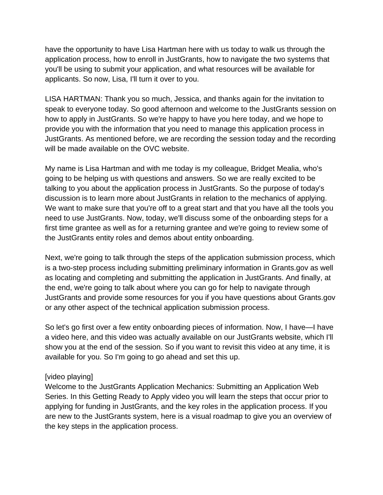have the opportunity to have Lisa Hartman here with us today to walk us through the application process, how to enroll in JustGrants, how to navigate the two systems that you'll be using to submit your application, and what resources will be available for applicants. So now, Lisa, I'll turn it over to you.

LISA HARTMAN: Thank you so much, Jessica, and thanks again for the invitation to speak to everyone today. So good afternoon and welcome to the JustGrants session on how to apply in JustGrants. So we're happy to have you here today, and we hope to provide you with the information that you need to manage this application process in JustGrants. As mentioned before, we are recording the session today and the recording will be made available on the OVC website.

My name is Lisa Hartman and with me today is my colleague, Bridget Mealia, who's going to be helping us with questions and answers. So we are really excited to be talking to you about the application process in JustGrants. So the purpose of today's discussion is to learn more about JustGrants in relation to the mechanics of applying. We want to make sure that you're off to a great start and that you have all the tools you need to use JustGrants. Now, today, we'll discuss some of the onboarding steps for a first time grantee as well as for a returning grantee and we're going to review some of the JustGrants entity roles and demos about entity onboarding.

Next, we're going to talk through the steps of the application submission process, which is a two-step process including submitting preliminary information in Grants.gov as well as locating and completing and submitting the application in JustGrants. And finally, at the end, we're going to talk about where you can go for help to navigate through JustGrants and provide some resources for you if you have questions about Grants.gov or any other aspect of the technical application submission process.

So let's go first over a few entity onboarding pieces of information. Now, I have—I have a video here, and this video was actually available on our JustGrants website, which I'll show you at the end of the session. So if you want to revisit this video at any time, it is available for you. So I'm going to go ahead and set this up.

## [video playing]

Welcome to the JustGrants Application Mechanics: Submitting an Application Web Series. In this Getting Ready to Apply video you will learn the steps that occur prior to applying for funding in JustGrants, and the key roles in the application process. If you are new to the JustGrants system, here is a visual roadmap to give you an overview of the key steps in the application process.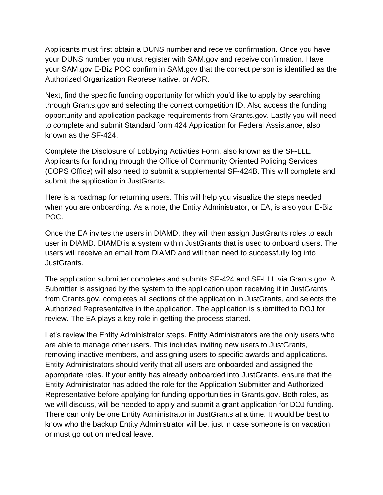Applicants must first obtain a DUNS number and receive confirmation. Once you have your DUNS number you must register with SAM.gov and receive confirmation. Have your SAM.gov E-Biz POC confirm in SAM.gov that the correct person is identified as the Authorized Organization Representative, or AOR.

Next, find the specific funding opportunity for which you'd like to apply by searching through Grants.gov and selecting the correct competition ID. Also access the funding opportunity and application package requirements from Grants.gov. Lastly you will need to complete and submit Standard form 424 Application for Federal Assistance, also known as the SF-424.

Complete the Disclosure of Lobbying Activities Form, also known as the SF-LLL. Applicants for funding through the Office of Community Oriented Policing Services (COPS Office) will also need to submit a supplemental SF-424B. This will complete and submit the application in JustGrants.

Here is a roadmap for returning users. This will help you visualize the steps needed when you are onboarding. As a note, the Entity Administrator, or EA, is also your E-Biz POC.

Once the EA invites the users in DIAMD, they will then assign JustGrants roles to each user in DIAMD. DIAMD is a system within JustGrants that is used to onboard users. The users will receive an email from DIAMD and will then need to successfully log into JustGrants.

The application submitter completes and submits SF-424 and SF-LLL via Grants.gov. A Submitter is assigned by the system to the application upon receiving it in JustGrants from Grants.gov, completes all sections of the application in JustGrants, and selects the Authorized Representative in the application. The application is submitted to DOJ for review. The EA plays a key role in getting the process started.

Let's review the Entity Administrator steps. Entity Administrators are the only users who are able to manage other users. This includes inviting new users to JustGrants, removing inactive members, and assigning users to specific awards and applications. Entity Administrators should verify that all users are onboarded and assigned the appropriate roles. If your entity has already onboarded into JustGrants, ensure that the Entity Administrator has added the role for the Application Submitter and Authorized Representative before applying for funding opportunities in Grants.gov. Both roles, as we will discuss, will be needed to apply and submit a grant application for DOJ funding. There can only be one Entity Administrator in JustGrants at a time. It would be best to know who the backup Entity Administrator will be, just in case someone is on vacation or must go out on medical leave.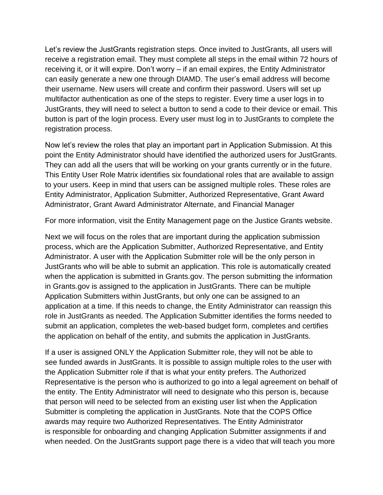Let's review the JustGrants registration steps. Once invited to JustGrants, all users will receive a registration email. They must complete all steps in the email within 72 hours of receiving it, or it will expire. Don't worry – if an email expires, the Entity Administrator can easily generate a new one through DIAMD. The user's email address will become their username. New users will create and confirm their password. Users will set up multifactor authentication as one of the steps to register. Every time a user logs in to JustGrants, they will need to select a button to send a code to their device or email. This button is part of the login process. Every user must log in to JustGrants to complete the registration process.

Now let's review the roles that play an important part in Application Submission. At this point the Entity Administrator should have identified the authorized users for JustGrants. They can add all the users that will be working on your grants currently or in the future. This Entity User Role Matrix identifies six foundational roles that are available to assign to your users. Keep in mind that users can be assigned multiple roles. These roles are Entity Administrator, Application Submitter, Authorized Representative, Grant Award Administrator, Grant Award Administrator Alternate, and Financial Manager

For more information, visit the Entity Management page on the Justice Grants website.

Next we will focus on the roles that are important during the application submission process, which are the Application Submitter, Authorized Representative, and Entity Administrator. A user with the Application Submitter role will be the only person in JustGrants who will be able to submit an application. This role is automatically created when the application is submitted in Grants.gov. The person submitting the information in Grants.gov is assigned to the application in JustGrants. There can be multiple Application Submitters within JustGrants, but only one can be assigned to an application at a time. If this needs to change, the Entity Administrator can reassign this role in JustGrants as needed. The Application Submitter identifies the forms needed to submit an application, completes the web-based budget form, completes and certifies the application on behalf of the entity, and submits the application in JustGrants.

If a user is assigned ONLY the Application Submitter role, they will not be able to see funded awards in JustGrants. It is possible to assign multiple roles to the user with the Application Submitter role if that is what your entity prefers. The Authorized Representative is the person who is authorized to go into a legal agreement on behalf of the entity. The Entity Administrator will need to designate who this person is, because that person will need to be selected from an existing user list when the Application Submitter is completing the application in JustGrants. Note that the COPS Office awards may require two Authorized Representatives. The Entity Administrator is responsible for onboarding and changing Application Submitter assignments if and when needed. On the JustGrants support page there is a video that will teach you more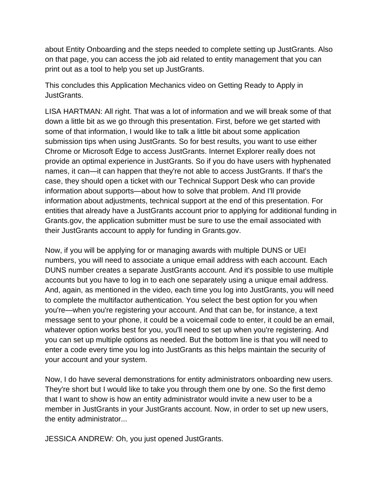about Entity Onboarding and the steps needed to complete setting up JustGrants. Also on that page, you can access the job aid related to entity management that you can print out as a tool to help you set up JustGrants.

This concludes this Application Mechanics video on Getting Ready to Apply in JustGrants.

LISA HARTMAN: All right. That was a lot of information and we will break some of that down a little bit as we go through this presentation. First, before we get started with some of that information, I would like to talk a little bit about some application submission tips when using JustGrants. So for best results, you want to use either Chrome or Microsoft Edge to access JustGrants. Internet Explorer really does not provide an optimal experience in JustGrants. So if you do have users with hyphenated names, it can—it can happen that they're not able to access JustGrants. If that's the case, they should open a ticket with our Technical Support Desk who can provide information about supports—about how to solve that problem. And I'll provide information about adjustments, technical support at the end of this presentation. For entities that already have a JustGrants account prior to applying for additional funding in Grants.gov, the application submitter must be sure to use the email associated with their JustGrants account to apply for funding in Grants.gov.

Now, if you will be applying for or managing awards with multiple DUNS or UEI numbers, you will need to associate a unique email address with each account. Each DUNS number creates a separate JustGrants account. And it's possible to use multiple accounts but you have to log in to each one separately using a unique email address. And, again, as mentioned in the video, each time you log into JustGrants, you will need to complete the multifactor authentication. You select the best option for you when you're—when you're registering your account. And that can be, for instance, a text message sent to your phone, it could be a voicemail code to enter, it could be an email, whatever option works best for you, you'll need to set up when you're registering. And you can set up multiple options as needed. But the bottom line is that you will need to enter a code every time you log into JustGrants as this helps maintain the security of your account and your system.

Now, I do have several demonstrations for entity administrators onboarding new users. They're short but I would like to take you through them one by one. So the first demo that I want to show is how an entity administrator would invite a new user to be a member in JustGrants in your JustGrants account. Now, in order to set up new users, the entity administrator...

JESSICA ANDREW: Oh, you just opened JustGrants.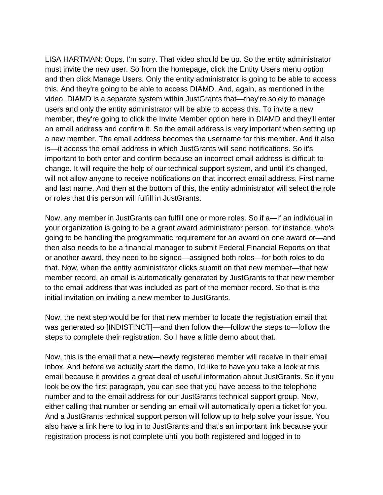LISA HARTMAN: Oops. I'm sorry. That video should be up. So the entity administrator must invite the new user. So from the homepage, click the Entity Users menu option and then click Manage Users. Only the entity administrator is going to be able to access this. And they're going to be able to access DIAMD. And, again, as mentioned in the video, DIAMD is a separate system within JustGrants that—they're solely to manage users and only the entity administrator will be able to access this. To invite a new member, they're going to click the Invite Member option here in DIAMD and they'll enter an email address and confirm it. So the email address is very important when setting up a new member. The email address becomes the username for this member. And it also is—it access the email address in which JustGrants will send notifications. So it's important to both enter and confirm because an incorrect email address is difficult to change. It will require the help of our technical support system, and until it's changed, will not allow anyone to receive notifications on that incorrect email address. First name and last name. And then at the bottom of this, the entity administrator will select the role or roles that this person will fulfill in JustGrants.

Now, any member in JustGrants can fulfill one or more roles. So if a—if an individual in your organization is going to be a grant award administrator person, for instance, who's going to be handling the programmatic requirement for an award on one award or—and then also needs to be a financial manager to submit Federal Financial Reports on that or another award, they need to be signed—assigned both roles—for both roles to do that. Now, when the entity administrator clicks submit on that new member—that new member record, an email is automatically generated by JustGrants to that new member to the email address that was included as part of the member record. So that is the initial invitation on inviting a new member to JustGrants.

Now, the next step would be for that new member to locate the registration email that was generated so [INDISTINCT]—and then follow the—follow the steps to—follow the steps to complete their registration. So I have a little demo about that.

Now, this is the email that a new—newly registered member will receive in their email inbox. And before we actually start the demo, I'd like to have you take a look at this email because it provides a great deal of useful information about JustGrants. So if you look below the first paragraph, you can see that you have access to the telephone number and to the email address for our JustGrants technical support group. Now, either calling that number or sending an email will automatically open a ticket for you. And a JustGrants technical support person will follow up to help solve your issue. You also have a link here to log in to JustGrants and that's an important link because your registration process is not complete until you both registered and logged in to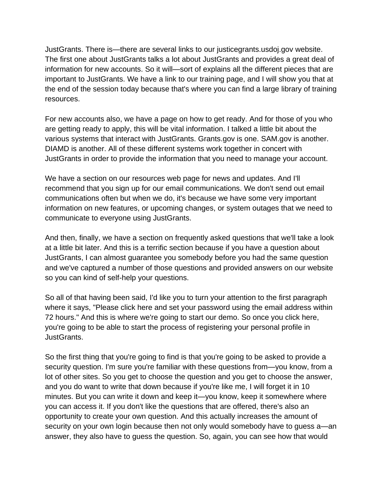JustGrants. There is—there are several links to our justicegrants.usdoj.gov website. The first one about JustGrants talks a lot about JustGrants and provides a great deal of information for new accounts. So it will—sort of explains all the different pieces that are important to JustGrants. We have a link to our training page, and I will show you that at the end of the session today because that's where you can find a large library of training resources.

For new accounts also, we have a page on how to get ready. And for those of you who are getting ready to apply, this will be vital information. I talked a little bit about the various systems that interact with JustGrants. Grants.gov is one. SAM.gov is another. DIAMD is another. All of these different systems work together in concert with JustGrants in order to provide the information that you need to manage your account.

We have a section on our resources web page for news and updates. And I'll recommend that you sign up for our email communications. We don't send out email communications often but when we do, it's because we have some very important information on new features, or upcoming changes, or system outages that we need to communicate to everyone using JustGrants.

And then, finally, we have a section on frequently asked questions that we'll take a look at a little bit later. And this is a terrific section because if you have a question about JustGrants, I can almost guarantee you somebody before you had the same question and we've captured a number of those questions and provided answers on our website so you can kind of self-help your questions.

So all of that having been said, I'd like you to turn your attention to the first paragraph where it says, "Please click here and set your password using the email address within 72 hours." And this is where we're going to start our demo. So once you click here, you're going to be able to start the process of registering your personal profile in JustGrants.

So the first thing that you're going to find is that you're going to be asked to provide a security question. I'm sure you're familiar with these questions from—you know, from a lot of other sites. So you get to choose the question and you get to choose the answer, and you do want to write that down because if you're like me, I will forget it in 10 minutes. But you can write it down and keep it—you know, keep it somewhere where you can access it. If you don't like the questions that are offered, there's also an opportunity to create your own question. And this actually increases the amount of security on your own login because then not only would somebody have to guess a—an answer, they also have to guess the question. So, again, you can see how that would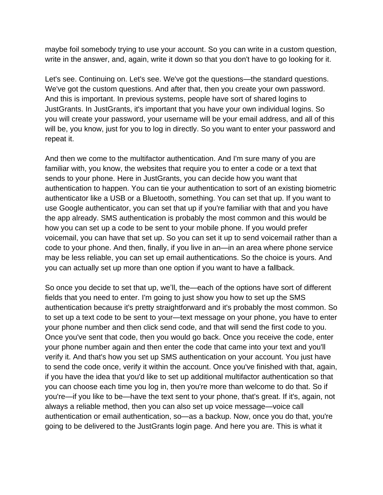maybe foil somebody trying to use your account. So you can write in a custom question, write in the answer, and, again, write it down so that you don't have to go looking for it.

Let's see. Continuing on. Let's see. We've got the questions—the standard questions. We've got the custom questions. And after that, then you create your own password. And this is important. In previous systems, people have sort of shared logins to JustGrants. In JustGrants, it's important that you have your own individual logins. So you will create your password, your username will be your email address, and all of this will be, you know, just for you to log in directly. So you want to enter your password and repeat it.

And then we come to the multifactor authentication. And I'm sure many of you are familiar with, you know, the websites that require you to enter a code or a text that sends to your phone. Here in JustGrants, you can decide how you want that authentication to happen. You can tie your authentication to sort of an existing biometric authenticator like a USB or a Bluetooth, something. You can set that up. If you want to use Google authenticator, you can set that up if you're familiar with that and you have the app already. SMS authentication is probably the most common and this would be how you can set up a code to be sent to your mobile phone. If you would prefer voicemail, you can have that set up. So you can set it up to send voicemail rather than a code to your phone. And then, finally, if you live in an—in an area where phone service may be less reliable, you can set up email authentications. So the choice is yours. And you can actually set up more than one option if you want to have a fallback.

So once you decide to set that up, we'll, the—each of the options have sort of different fields that you need to enter. I'm going to just show you how to set up the SMS authentication because it's pretty straightforward and it's probably the most common. So to set up a text code to be sent to your—text message on your phone, you have to enter your phone number and then click send code, and that will send the first code to you. Once you've sent that code, then you would go back. Once you receive the code, enter your phone number again and then enter the code that came into your text and you'll verify it. And that's how you set up SMS authentication on your account. You just have to send the code once, verify it within the account. Once you've finished with that, again, if you have the idea that you'd like to set up additional multifactor authentication so that you can choose each time you log in, then you're more than welcome to do that. So if you're—if you like to be—have the text sent to your phone, that's great. If it's, again, not always a reliable method, then you can also set up voice message—voice call authentication or email authentication, so—as a backup. Now, once you do that, you're going to be delivered to the JustGrants login page. And here you are. This is what it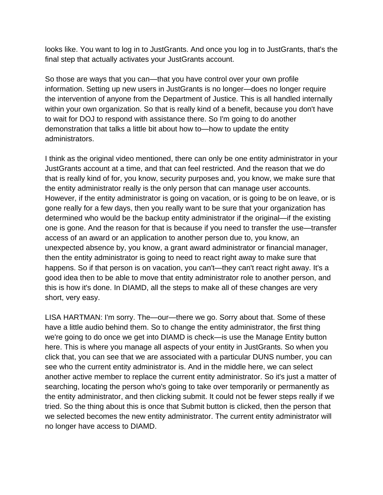looks like. You want to log in to JustGrants. And once you log in to JustGrants, that's the final step that actually activates your JustGrants account.

So those are ways that you can—that you have control over your own profile information. Setting up new users in JustGrants is no longer—does no longer require the intervention of anyone from the Department of Justice. This is all handled internally within your own organization. So that is really kind of a benefit, because you don't have to wait for DOJ to respond with assistance there. So I'm going to do another demonstration that talks a little bit about how to—how to update the entity administrators.

I think as the original video mentioned, there can only be one entity administrator in your JustGrants account at a time, and that can feel restricted. And the reason that we do that is really kind of for, you know, security purposes and, you know, we make sure that the entity administrator really is the only person that can manage user accounts. However, if the entity administrator is going on vacation, or is going to be on leave, or is gone really for a few days, then you really want to be sure that your organization has determined who would be the backup entity administrator if the original—if the existing one is gone. And the reason for that is because if you need to transfer the use—transfer access of an award or an application to another person due to, you know, an unexpected absence by, you know, a grant award administrator or financial manager, then the entity administrator is going to need to react right away to make sure that happens. So if that person is on vacation, you can't—they can't react right away. It's a good idea then to be able to move that entity administrator role to another person, and this is how it's done. In DIAMD, all the steps to make all of these changes are very short, very easy.

LISA HARTMAN: I'm sorry. The—our—there we go. Sorry about that. Some of these have a little audio behind them. So to change the entity administrator, the first thing we're going to do once we get into DIAMD is check—is use the Manage Entity button here. This is where you manage all aspects of your entity in JustGrants. So when you click that, you can see that we are associated with a particular DUNS number, you can see who the current entity administrator is. And in the middle here, we can select another active member to replace the current entity administrator. So it's just a matter of searching, locating the person who's going to take over temporarily or permanently as the entity administrator, and then clicking submit. It could not be fewer steps really if we tried. So the thing about this is once that Submit button is clicked, then the person that we selected becomes the new entity administrator. The current entity administrator will no longer have access to DIAMD.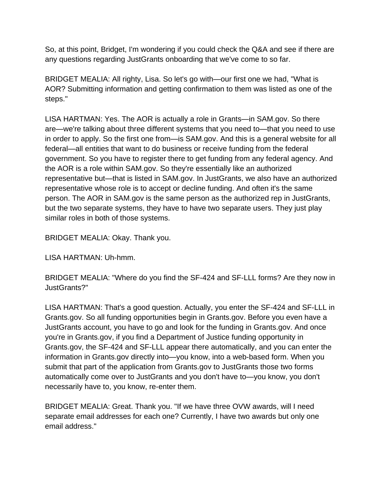So, at this point, Bridget, I'm wondering if you could check the Q&A and see if there are any questions regarding JustGrants onboarding that we've come to so far.

BRIDGET MEALIA: All righty, Lisa. So let's go with—our first one we had, "What is AOR? Submitting information and getting confirmation to them was listed as one of the steps."

LISA HARTMAN: Yes. The AOR is actually a role in Grants—in SAM.gov. So there are—we're talking about three different systems that you need to—that you need to use in order to apply. So the first one from—is SAM.gov. And this is a general website for all federal—all entities that want to do business or receive funding from the federal government. So you have to register there to get funding from any federal agency. And the AOR is a role within SAM.gov. So they're essentially like an authorized representative but—that is listed in SAM.gov. In JustGrants, we also have an authorized representative whose role is to accept or decline funding. And often it's the same person. The AOR in SAM.gov is the same person as the authorized rep in JustGrants, but the two separate systems, they have to have two separate users. They just play similar roles in both of those systems.

BRIDGET MEALIA: Okay. Thank you.

LISA HARTMAN: Uh-hmm.

BRIDGET MEALIA: "Where do you find the SF-424 and SF-LLL forms? Are they now in JustGrants?"

LISA HARTMAN: That's a good question. Actually, you enter the SF-424 and SF-LLL in Grants.gov. So all funding opportunities begin in Grants.gov. Before you even have a JustGrants account, you have to go and look for the funding in Grants.gov. And once you're in Grants.gov, if you find a Department of Justice funding opportunity in Grants.gov, the SF-424 and SF-LLL appear there automatically, and you can enter the information in Grants.gov directly into—you know, into a web-based form. When you submit that part of the application from Grants.gov to JustGrants those two forms automatically come over to JustGrants and you don't have to—you know, you don't necessarily have to, you know, re-enter them.

BRIDGET MEALIA: Great. Thank you. "If we have three OVW awards, will I need separate email addresses for each one? Currently, I have two awards but only one email address."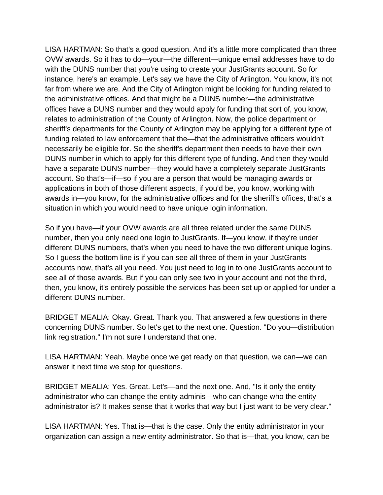LISA HARTMAN: So that's a good question. And it's a little more complicated than three OVW awards. So it has to do—your—the different—unique email addresses have to do with the DUNS number that you're using to create your JustGrants account. So for instance, here's an example. Let's say we have the City of Arlington. You know, it's not far from where we are. And the City of Arlington might be looking for funding related to the administrative offices. And that might be a DUNS number—the administrative offices have a DUNS number and they would apply for funding that sort of, you know, relates to administration of the County of Arlington. Now, the police department or sheriff's departments for the County of Arlington may be applying for a different type of funding related to law enforcement that the—that the administrative officers wouldn't necessarily be eligible for. So the sheriff's department then needs to have their own DUNS number in which to apply for this different type of funding. And then they would have a separate DUNS number—they would have a completely separate JustGrants account. So that's—if—so if you are a person that would be managing awards or applications in both of those different aspects, if you'd be, you know, working with awards in—you know, for the administrative offices and for the sheriff's offices, that's a situation in which you would need to have unique login information.

So if you have—if your OVW awards are all three related under the same DUNS number, then you only need one login to JustGrants. If—you know, if they're under different DUNS numbers, that's when you need to have the two different unique logins. So I guess the bottom line is if you can see all three of them in your JustGrants accounts now, that's all you need. You just need to log in to one JustGrants account to see all of those awards. But if you can only see two in your account and not the third, then, you know, it's entirely possible the services has been set up or applied for under a different DUNS number.

BRIDGET MEALIA: Okay. Great. Thank you. That answered a few questions in there concerning DUNS number. So let's get to the next one. Question. "Do you—distribution link registration." I'm not sure I understand that one.

LISA HARTMAN: Yeah. Maybe once we get ready on that question, we can—we can answer it next time we stop for questions.

BRIDGET MEALIA: Yes. Great. Let's—and the next one. And, "Is it only the entity administrator who can change the entity adminis—who can change who the entity administrator is? It makes sense that it works that way but I just want to be very clear."

LISA HARTMAN: Yes. That is—that is the case. Only the entity administrator in your organization can assign a new entity administrator. So that is—that, you know, can be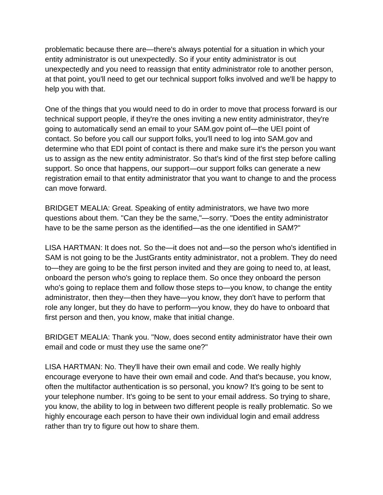problematic because there are—there's always potential for a situation in which your entity administrator is out unexpectedly. So if your entity administrator is out unexpectedly and you need to reassign that entity administrator role to another person, at that point, you'll need to get our technical support folks involved and we'll be happy to help you with that.

One of the things that you would need to do in order to move that process forward is our technical support people, if they're the ones inviting a new entity administrator, they're going to automatically send an email to your SAM.gov point of—the UEI point of contact. So before you call our support folks, you'll need to log into SAM.gov and determine who that EDI point of contact is there and make sure it's the person you want us to assign as the new entity administrator. So that's kind of the first step before calling support. So once that happens, our support—our support folks can generate a new registration email to that entity administrator that you want to change to and the process can move forward.

BRIDGET MEALIA: Great. Speaking of entity administrators, we have two more questions about them. "Can they be the same,"—sorry. "Does the entity administrator have to be the same person as the identified—as the one identified in SAM?"

LISA HARTMAN: It does not. So the—it does not and—so the person who's identified in SAM is not going to be the JustGrants entity administrator, not a problem. They do need to—they are going to be the first person invited and they are going to need to, at least, onboard the person who's going to replace them. So once they onboard the person who's going to replace them and follow those steps to—you know, to change the entity administrator, then they—then they have—you know, they don't have to perform that role any longer, but they do have to perform—you know, they do have to onboard that first person and then, you know, make that initial change.

BRIDGET MEALIA: Thank you. "Now, does second entity administrator have their own email and code or must they use the same one?"

LISA HARTMAN: No. They'll have their own email and code. We really highly encourage everyone to have their own email and code. And that's because, you know, often the multifactor authentication is so personal, you know? It's going to be sent to your telephone number. It's going to be sent to your email address. So trying to share, you know, the ability to log in between two different people is really problematic. So we highly encourage each person to have their own individual login and email address rather than try to figure out how to share them.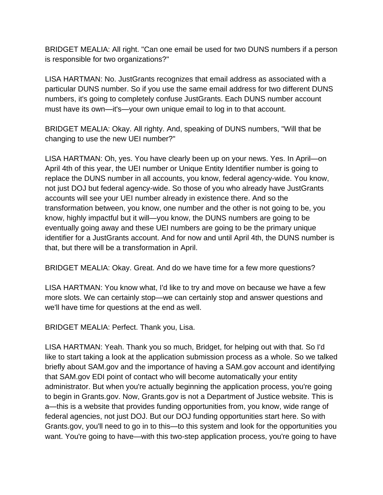BRIDGET MEALIA: All right. "Can one email be used for two DUNS numbers if a person is responsible for two organizations?"

LISA HARTMAN: No. JustGrants recognizes that email address as associated with a particular DUNS number. So if you use the same email address for two different DUNS numbers, it's going to completely confuse JustGrants. Each DUNS number account must have its own—it's—your own unique email to log in to that account.

BRIDGET MEALIA: Okay. All righty. And, speaking of DUNS numbers, "Will that be changing to use the new UEI number?"

LISA HARTMAN: Oh, yes. You have clearly been up on your news. Yes. In April—on April 4th of this year, the UEI number or Unique Entity Identifier number is going to replace the DUNS number in all accounts, you know, federal agency-wide. You know, not just DOJ but federal agency-wide. So those of you who already have JustGrants accounts will see your UEI number already in existence there. And so the transformation between, you know, one number and the other is not going to be, you know, highly impactful but it will—you know, the DUNS numbers are going to be eventually going away and these UEI numbers are going to be the primary unique identifier for a JustGrants account. And for now and until April 4th, the DUNS number is that, but there will be a transformation in April.

BRIDGET MEALIA: Okay. Great. And do we have time for a few more questions?

LISA HARTMAN: You know what, I'd like to try and move on because we have a few more slots. We can certainly stop—we can certainly stop and answer questions and we'll have time for questions at the end as well.

BRIDGET MEALIA: Perfect. Thank you, Lisa.

LISA HARTMAN: Yeah. Thank you so much, Bridget, for helping out with that. So I'd like to start taking a look at the application submission process as a whole. So we talked briefly about SAM.gov and the importance of having a SAM.gov account and identifying that SAM.gov EDI point of contact who will become automatically your entity administrator. But when you're actually beginning the application process, you're going to begin in Grants.gov. Now, Grants.gov is not a Department of Justice website. This is a—this is a website that provides funding opportunities from, you know, wide range of federal agencies, not just DOJ. But our DOJ funding opportunities start here. So with Grants.gov, you'll need to go in to this—to this system and look for the opportunities you want. You're going to have—with this two-step application process, you're going to have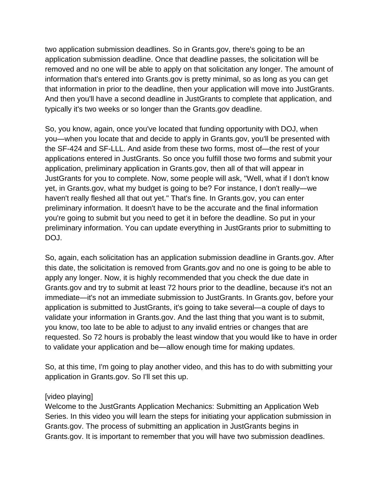two application submission deadlines. So in Grants.gov, there's going to be an application submission deadline. Once that deadline passes, the solicitation will be removed and no one will be able to apply on that solicitation any longer. The amount of information that's entered into Grants.gov is pretty minimal, so as long as you can get that information in prior to the deadline, then your application will move into JustGrants. And then you'll have a second deadline in JustGrants to complete that application, and typically it's two weeks or so longer than the Grants.gov deadline.

So, you know, again, once you've located that funding opportunity with DOJ, when you—when you locate that and decide to apply in Grants.gov, you'll be presented with the SF-424 and SF-LLL. And aside from these two forms, most of—the rest of your applications entered in JustGrants. So once you fulfill those two forms and submit your application, preliminary application in Grants.gov, then all of that will appear in JustGrants for you to complete. Now, some people will ask, "Well, what if I don't know yet, in Grants.gov, what my budget is going to be? For instance, I don't really—we haven't really fleshed all that out yet." That's fine. In Grants.gov, you can enter preliminary information. It doesn't have to be the accurate and the final information you're going to submit but you need to get it in before the deadline. So put in your preliminary information. You can update everything in JustGrants prior to submitting to DOJ.

So, again, each solicitation has an application submission deadline in Grants.gov. After this date, the solicitation is removed from Grants.gov and no one is going to be able to apply any longer. Now, it is highly recommended that you check the due date in Grants.gov and try to submit at least 72 hours prior to the deadline, because it's not an immediate—it's not an immediate submission to JustGrants. In Grants.gov, before your application is submitted to JustGrants, it's going to take several—a couple of days to validate your information in Grants.gov. And the last thing that you want is to submit, you know, too late to be able to adjust to any invalid entries or changes that are requested. So 72 hours is probably the least window that you would like to have in order to validate your application and be—allow enough time for making updates.

So, at this time, I'm going to play another video, and this has to do with submitting your application in Grants.gov. So I'll set this up.

## [video playing]

Welcome to the JustGrants Application Mechanics: Submitting an Application Web Series. In this video you will learn the steps for initiating your application submission in Grants.gov. The process of submitting an application in JustGrants begins in Grants.gov. It is important to remember that you will have two submission deadlines.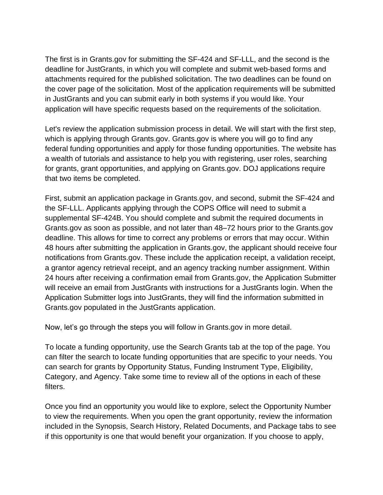The first is in Grants.gov for submitting the SF-424 and SF-LLL, and the second is the deadline for JustGrants, in which you will complete and submit web-based forms and attachments required for the published solicitation. The two deadlines can be found on the cover page of the solicitation. Most of the application requirements will be submitted in JustGrants and you can submit early in both systems if you would like. Your application will have specific requests based on the requirements of the solicitation.

Let's review the application submission process in detail. We will start with the first step, which is applying through Grants.gov. Grants.gov is where you will go to find any federal funding opportunities and apply for those funding opportunities. The website has a wealth of tutorials and assistance to help you with registering, user roles, searching for grants, grant opportunities, and applying on Grants.gov. DOJ applications require that two items be completed.

First, submit an application package in Grants.gov, and second, submit the SF-424 and the SF-LLL. Applicants applying through the COPS Office will need to submit a supplemental SF-424B. You should complete and submit the required documents in Grants.gov as soon as possible, and not later than 48–72 hours prior to the Grants.gov deadline. This allows for time to correct any problems or errors that may occur. Within 48 hours after submitting the application in Grants.gov, the applicant should receive four notifications from Grants.gov. These include the application receipt, a validation receipt, a grantor agency retrieval receipt, and an agency tracking number assignment. Within 24 hours after receiving a confirmation email from Grants.gov, the Application Submitter will receive an email from JustGrants with instructions for a JustGrants login. When the Application Submitter logs into JustGrants, they will find the information submitted in Grants.gov populated in the JustGrants application.

Now, let's go through the steps you will follow in Grants.gov in more detail.

To locate a funding opportunity, use the Search Grants tab at the top of the page. You can filter the search to locate funding opportunities that are specific to your needs. You can search for grants by Opportunity Status, Funding Instrument Type, Eligibility, Category, and Agency. Take some time to review all of the options in each of these filters.

Once you find an opportunity you would like to explore, select the Opportunity Number to view the requirements. When you open the grant opportunity, review the information included in the Synopsis, Search History, Related Documents, and Package tabs to see if this opportunity is one that would benefit your organization. If you choose to apply,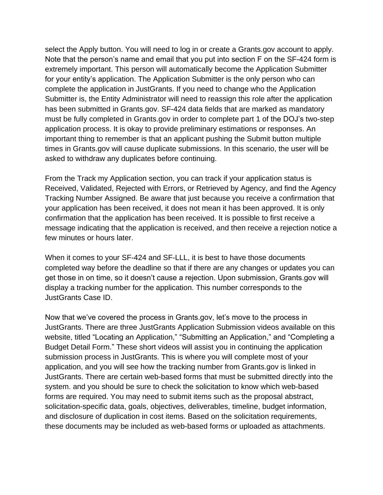select the Apply button. You will need to log in or create a Grants.gov account to apply. Note that the person's name and email that you put into section F on the SF-424 form is extremely important. This person will automatically become the Application Submitter for your entity's application. The Application Submitter is the only person who can complete the application in JustGrants. If you need to change who the Application Submitter is, the Entity Administrator will need to reassign this role after the application has been submitted in Grants.gov. SF-424 data fields that are marked as mandatory must be fully completed in Grants.gov in order to complete part 1 of the DOJ's two-step application process. It is okay to provide preliminary estimations or responses. An important thing to remember is that an applicant pushing the Submit button multiple times in Grants.gov will cause duplicate submissions. In this scenario, the user will be asked to withdraw any duplicates before continuing.

From the Track my Application section, you can track if your application status is Received, Validated, Rejected with Errors, or Retrieved by Agency, and find the Agency Tracking Number Assigned. Be aware that just because you receive a confirmation that your application has been received, it does not mean it has been approved. It is only confirmation that the application has been received. It is possible to first receive a message indicating that the application is received, and then receive a rejection notice a few minutes or hours later.

When it comes to your SF-424 and SF-LLL, it is best to have those documents completed way before the deadline so that if there are any changes or updates you can get those in on time, so it doesn't cause a rejection. Upon submission, Grants.gov will display a tracking number for the application. This number corresponds to the JustGrants Case ID.

Now that we've covered the process in Grants.gov, let's move to the process in JustGrants. There are three JustGrants Application Submission videos available on this website, titled "Locating an Application," "Submitting an Application," and "Completing a Budget Detail Form." These short videos will assist you in continuing the application submission process in JustGrants. This is where you will complete most of your application, and you will see how the tracking number from Grants.gov is linked in JustGrants. There are certain web-based forms that must be submitted directly into the system. and you should be sure to check the solicitation to know which web-based forms are required. You may need to submit items such as the proposal abstract, solicitation-specific data, goals, objectives, deliverables, timeline, budget information, and disclosure of duplication in cost items. Based on the solicitation requirements, these documents may be included as web-based forms or uploaded as attachments.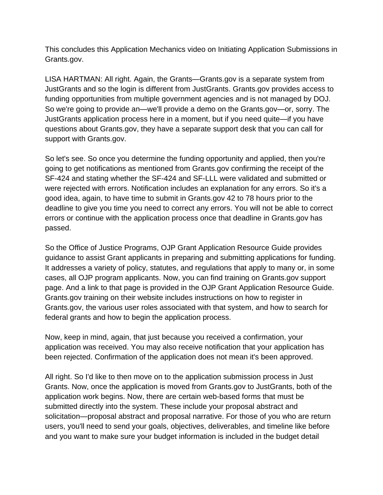This concludes this Application Mechanics video on Initiating Application Submissions in Grants.gov.

LISA HARTMAN: All right. Again, the Grants—Grants.gov is a separate system from JustGrants and so the login is different from JustGrants. Grants.gov provides access to funding opportunities from multiple government agencies and is not managed by DOJ. So we're going to provide an—we'll provide a demo on the Grants.gov—or, sorry. The JustGrants application process here in a moment, but if you need quite—if you have questions about Grants.gov, they have a separate support desk that you can call for support with Grants.gov.

So let's see. So once you determine the funding opportunity and applied, then you're going to get notifications as mentioned from Grants.gov confirming the receipt of the SF-424 and stating whether the SF-424 and SF-LLL were validated and submitted or were rejected with errors. Notification includes an explanation for any errors. So it's a good idea, again, to have time to submit in Grants.gov 42 to 78 hours prior to the deadline to give you time you need to correct any errors. You will not be able to correct errors or continue with the application process once that deadline in Grants.gov has passed.

So the Office of Justice Programs, OJP Grant Application Resource Guide provides guidance to assist Grant applicants in preparing and submitting applications for funding. It addresses a variety of policy, statutes, and regulations that apply to many or, in some cases, all OJP program applicants. Now, you can find training on Grants.gov support page. And a link to that page is provided in the OJP Grant Application Resource Guide. Grants.gov training on their website includes instructions on how to register in Grants.gov, the various user roles associated with that system, and how to search for federal grants and how to begin the application process.

Now, keep in mind, again, that just because you received a confirmation, your application was received. You may also receive notification that your application has been rejected. Confirmation of the application does not mean it's been approved.

All right. So I'd like to then move on to the application submission process in Just Grants. Now, once the application is moved from Grants.gov to JustGrants, both of the application work begins. Now, there are certain web-based forms that must be submitted directly into the system. These include your proposal abstract and solicitation—proposal abstract and proposal narrative. For those of you who are return users, you'll need to send your goals, objectives, deliverables, and timeline like before and you want to make sure your budget information is included in the budget detail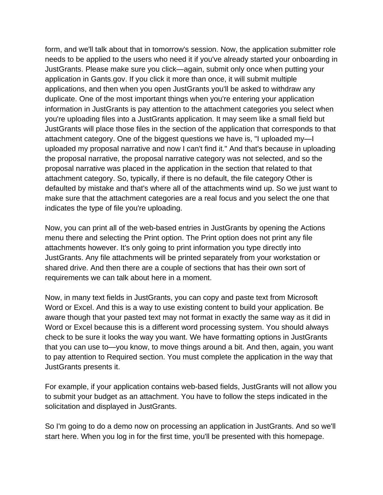form, and we'll talk about that in tomorrow's session. Now, the application submitter role needs to be applied to the users who need it if you've already started your onboarding in JustGrants. Please make sure you click—again, submit only once when putting your application in Gants.gov. If you click it more than once, it will submit multiple applications, and then when you open JustGrants you'll be asked to withdraw any duplicate. One of the most important things when you're entering your application information in JustGrants is pay attention to the attachment categories you select when you're uploading files into a JustGrants application. It may seem like a small field but JustGrants will place those files in the section of the application that corresponds to that attachment category. One of the biggest questions we have is, "I uploaded my—I uploaded my proposal narrative and now I can't find it." And that's because in uploading the proposal narrative, the proposal narrative category was not selected, and so the proposal narrative was placed in the application in the section that related to that attachment category. So, typically, if there is no default, the file category Other is defaulted by mistake and that's where all of the attachments wind up. So we just want to make sure that the attachment categories are a real focus and you select the one that indicates the type of file you're uploading.

Now, you can print all of the web-based entries in JustGrants by opening the Actions menu there and selecting the Print option. The Print option does not print any file attachments however. It's only going to print information you type directly into JustGrants. Any file attachments will be printed separately from your workstation or shared drive. And then there are a couple of sections that has their own sort of requirements we can talk about here in a moment.

Now, in many text fields in JustGrants, you can copy and paste text from Microsoft Word or Excel. And this is a way to use existing content to build your application. Be aware though that your pasted text may not format in exactly the same way as it did in Word or Excel because this is a different word processing system. You should always check to be sure it looks the way you want. We have formatting options in JustGrants that you can use to—you know, to move things around a bit. And then, again, you want to pay attention to Required section. You must complete the application in the way that JustGrants presents it.

For example, if your application contains web-based fields, JustGrants will not allow you to submit your budget as an attachment. You have to follow the steps indicated in the solicitation and displayed in JustGrants.

So I'm going to do a demo now on processing an application in JustGrants. And so we'll start here. When you log in for the first time, you'll be presented with this homepage.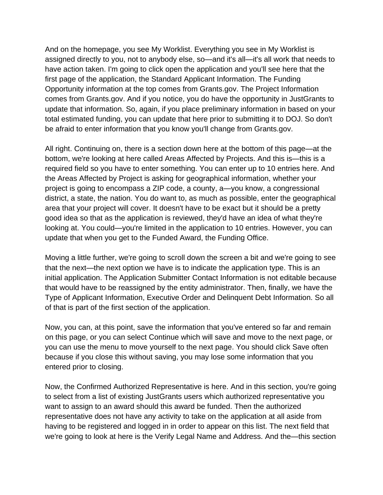And on the homepage, you see My Worklist. Everything you see in My Worklist is assigned directly to you, not to anybody else, so—and it's all—it's all work that needs to have action taken. I'm going to click open the application and you'll see here that the first page of the application, the Standard Applicant Information. The Funding Opportunity information at the top comes from Grants.gov. The Project Information comes from Grants.gov. And if you notice, you do have the opportunity in JustGrants to update that information. So, again, if you place preliminary information in based on your total estimated funding, you can update that here prior to submitting it to DOJ. So don't be afraid to enter information that you know you'll change from Grants.gov.

All right. Continuing on, there is a section down here at the bottom of this page—at the bottom, we're looking at here called Areas Affected by Projects. And this is—this is a required field so you have to enter something. You can enter up to 10 entries here. And the Areas Affected by Project is asking for geographical information, whether your project is going to encompass a ZIP code, a county, a—you know, a congressional district, a state, the nation. You do want to, as much as possible, enter the geographical area that your project will cover. It doesn't have to be exact but it should be a pretty good idea so that as the application is reviewed, they'd have an idea of what they're looking at. You could—you're limited in the application to 10 entries. However, you can update that when you get to the Funded Award, the Funding Office.

Moving a little further, we're going to scroll down the screen a bit and we're going to see that the next—the next option we have is to indicate the application type. This is an initial application. The Application Submitter Contact Information is not editable because that would have to be reassigned by the entity administrator. Then, finally, we have the Type of Applicant Information, Executive Order and Delinquent Debt Information. So all of that is part of the first section of the application.

Now, you can, at this point, save the information that you've entered so far and remain on this page, or you can select Continue which will save and move to the next page, or you can use the menu to move yourself to the next page. You should click Save often because if you close this without saving, you may lose some information that you entered prior to closing.

Now, the Confirmed Authorized Representative is here. And in this section, you're going to select from a list of existing JustGrants users which authorized representative you want to assign to an award should this award be funded. Then the authorized representative does not have any activity to take on the application at all aside from having to be registered and logged in in order to appear on this list. The next field that we're going to look at here is the Verify Legal Name and Address. And the—this section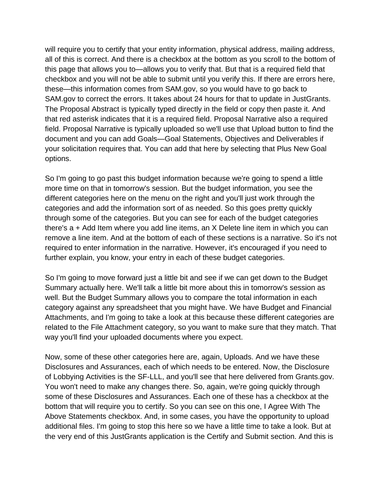will require you to certify that your entity information, physical address, mailing address, all of this is correct. And there is a checkbox at the bottom as you scroll to the bottom of this page that allows you to—allows you to verify that. But that is a required field that checkbox and you will not be able to submit until you verify this. If there are errors here, these—this information comes from SAM.gov, so you would have to go back to SAM.gov to correct the errors. It takes about 24 hours for that to update in JustGrants. The Proposal Abstract is typically typed directly in the field or copy then paste it. And that red asterisk indicates that it is a required field. Proposal Narrative also a required field. Proposal Narrative is typically uploaded so we'll use that Upload button to find the document and you can add Goals—Goal Statements, Objectives and Deliverables if your solicitation requires that. You can add that here by selecting that Plus New Goal options.

So I'm going to go past this budget information because we're going to spend a little more time on that in tomorrow's session. But the budget information, you see the different categories here on the menu on the right and you'll just work through the categories and add the information sort of as needed. So this goes pretty quickly through some of the categories. But you can see for each of the budget categories there's a + Add Item where you add line items, an X Delete line item in which you can remove a line item. And at the bottom of each of these sections is a narrative. So it's not required to enter information in the narrative. However, it's encouraged if you need to further explain, you know, your entry in each of these budget categories.

So I'm going to move forward just a little bit and see if we can get down to the Budget Summary actually here. We'll talk a little bit more about this in tomorrow's session as well. But the Budget Summary allows you to compare the total information in each category against any spreadsheet that you might have. We have Budget and Financial Attachments, and I'm going to take a look at this because these different categories are related to the File Attachment category, so you want to make sure that they match. That way you'll find your uploaded documents where you expect.

Now, some of these other categories here are, again, Uploads. And we have these Disclosures and Assurances, each of which needs to be entered. Now, the Disclosure of Lobbying Activities is the SF-LLL, and you'll see that here delivered from Grants.gov. You won't need to make any changes there. So, again, we're going quickly through some of these Disclosures and Assurances. Each one of these has a checkbox at the bottom that will require you to certify. So you can see on this one, I Agree With The Above Statements checkbox. And, in some cases, you have the opportunity to upload additional files. I'm going to stop this here so we have a little time to take a look. But at the very end of this JustGrants application is the Certify and Submit section. And this is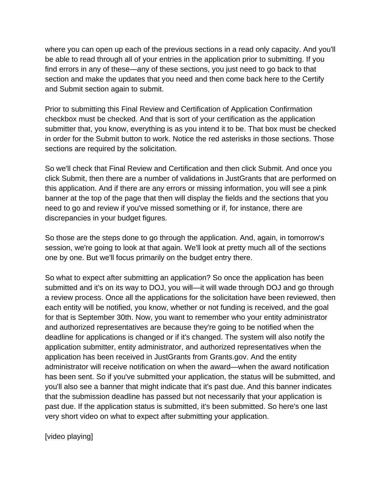where you can open up each of the previous sections in a read only capacity. And you'll be able to read through all of your entries in the application prior to submitting. If you find errors in any of these—any of these sections, you just need to go back to that section and make the updates that you need and then come back here to the Certify and Submit section again to submit.

Prior to submitting this Final Review and Certification of Application Confirmation checkbox must be checked. And that is sort of your certification as the application submitter that, you know, everything is as you intend it to be. That box must be checked in order for the Submit button to work. Notice the red asterisks in those sections. Those sections are required by the solicitation.

So we'll check that Final Review and Certification and then click Submit. And once you click Submit, then there are a number of validations in JustGrants that are performed on this application. And if there are any errors or missing information, you will see a pink banner at the top of the page that then will display the fields and the sections that you need to go and review if you've missed something or if, for instance, there are discrepancies in your budget figures.

So those are the steps done to go through the application. And, again, in tomorrow's session, we're going to look at that again. We'll look at pretty much all of the sections one by one. But we'll focus primarily on the budget entry there.

So what to expect after submitting an application? So once the application has been submitted and it's on its way to DOJ, you will—it will wade through DOJ and go through a review process. Once all the applications for the solicitation have been reviewed, then each entity will be notified, you know, whether or not funding is received, and the goal for that is September 30th. Now, you want to remember who your entity administrator and authorized representatives are because they're going to be notified when the deadline for applications is changed or if it's changed. The system will also notify the application submitter, entity administrator, and authorized representatives when the application has been received in JustGrants from Grants.gov. And the entity administrator will receive notification on when the award—when the award notification has been sent. So if you've submitted your application, the status will be submitted, and you'll also see a banner that might indicate that it's past due. And this banner indicates that the submission deadline has passed but not necessarily that your application is past due. If the application status is submitted, it's been submitted. So here's one last very short video on what to expect after submitting your application.

[video playing]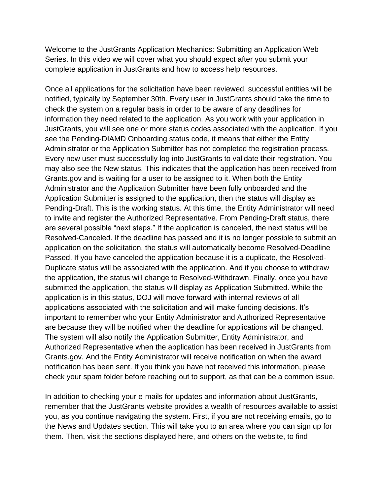Welcome to the JustGrants Application Mechanics: Submitting an Application Web Series. In this video we will cover what you should expect after you submit your complete application in JustGrants and how to access help resources.

Once all applications for the solicitation have been reviewed, successful entities will be notified, typically by September 30th. Every user in JustGrants should take the time to check the system on a regular basis in order to be aware of any deadlines for information they need related to the application. As you work with your application in JustGrants, you will see one or more status codes associated with the application. If you see the Pending-DIAMD Onboarding status code, it means that either the Entity Administrator or the Application Submitter has not completed the registration process. Every new user must successfully log into JustGrants to validate their registration. You may also see the New status. This indicates that the application has been received from Grants.gov and is waiting for a user to be assigned to it. When both the Entity Administrator and the Application Submitter have been fully onboarded and the Application Submitter is assigned to the application, then the status will display as Pending-Draft. This is the working status. At this time, the Entity Administrator will need to invite and register the Authorized Representative. From Pending-Draft status, there are several possible "next steps." If the application is canceled, the next status will be Resolved-Canceled. If the deadline has passed and it is no longer possible to submit an application on the solicitation, the status will automatically become Resolved-Deadline Passed. If you have canceled the application because it is a duplicate, the Resolved-Duplicate status will be associated with the application. And if you choose to withdraw the application, the status will change to Resolved-Withdrawn. Finally, once you have submitted the application, the status will display as Application Submitted. While the application is in this status, DOJ will move forward with internal reviews of all applications associated with the solicitation and will make funding decisions. It's important to remember who your Entity Administrator and Authorized Representative are because they will be notified when the deadline for applications will be changed. The system will also notify the Application Submitter, Entity Administrator, and Authorized Representative when the application has been received in JustGrants from Grants.gov. And the Entity Administrator will receive notification on when the award notification has been sent. If you think you have not received this information, please check your spam folder before reaching out to support, as that can be a common issue.

In addition to checking your e-mails for updates and information about JustGrants, remember that the JustGrants website provides a wealth of resources available to assist you, as you continue navigating the system. First, if you are not receiving emails, go to the News and Updates section. This will take you to an area where you can sign up for them. Then, visit the sections displayed here, and others on the website, to find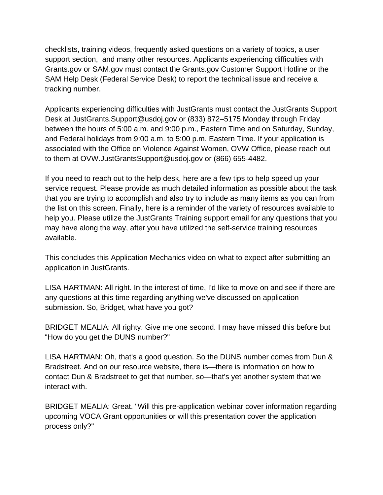checklists, training videos, frequently asked questions on a variety of topics, a user support section, and many other resources. Applicants experiencing difficulties with Grants.gov or SAM.gov must contact the Grants.gov Customer Support Hotline or the SAM Help Desk (Federal Service Desk) to report the technical issue and receive a tracking number.

Applicants experiencing difficulties with JustGrants must contact the JustGrants Support Desk at JustGrants.Support@usdoj.gov or (833) 872–5175 Monday through Friday between the hours of 5:00 a.m. and 9:00 p.m., Eastern Time and on Saturday, Sunday, and Federal holidays from 9:00 a.m. to 5:00 p.m. Eastern Time. If your application is associated with the Office on Violence Against Women, OVW Office, please reach out to them at OVW.JustGrantsSupport@usdoj.gov or (866) 655-4482.

If you need to reach out to the help desk, here are a few tips to help speed up your service request. Please provide as much detailed information as possible about the task that you are trying to accomplish and also try to include as many items as you can from the list on this screen. Finally, here is a reminder of the variety of resources available to help you. Please utilize the JustGrants Training support email for any questions that you may have along the way, after you have utilized the self-service training resources available.

This concludes this Application Mechanics video on what to expect after submitting an application in JustGrants.

LISA HARTMAN: All right. In the interest of time, I'd like to move on and see if there are any questions at this time regarding anything we've discussed on application submission. So, Bridget, what have you got?

BRIDGET MEALIA: All righty. Give me one second. I may have missed this before but "How do you get the DUNS number?"

LISA HARTMAN: Oh, that's a good question. So the DUNS number comes from Dun & Bradstreet. And on our resource website, there is—there is information on how to contact Dun & Bradstreet to get that number, so—that's yet another system that we interact with.

BRIDGET MEALIA: Great. "Will this pre-application webinar cover information regarding upcoming VOCA Grant opportunities or will this presentation cover the application process only?"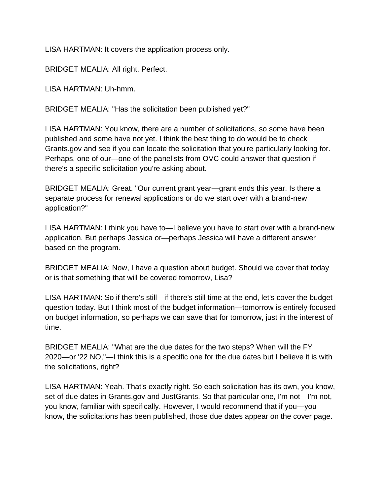LISA HARTMAN: It covers the application process only.

BRIDGET MEALIA: All right. Perfect.

LISA HARTMAN: Uh-hmm.

BRIDGET MEALIA: "Has the solicitation been published yet?"

LISA HARTMAN: You know, there are a number of solicitations, so some have been published and some have not yet. I think the best thing to do would be to check Grants.gov and see if you can locate the solicitation that you're particularly looking for. Perhaps, one of our—one of the panelists from OVC could answer that question if there's a specific solicitation you're asking about.

BRIDGET MEALIA: Great. "Our current grant year—grant ends this year. Is there a separate process for renewal applications or do we start over with a brand-new application?"

LISA HARTMAN: I think you have to—I believe you have to start over with a brand-new application. But perhaps Jessica or—perhaps Jessica will have a different answer based on the program.

BRIDGET MEALIA: Now, I have a question about budget. Should we cover that today or is that something that will be covered tomorrow, Lisa?

LISA HARTMAN: So if there's still—if there's still time at the end, let's cover the budget question today. But I think most of the budget information—tomorrow is entirely focused on budget information, so perhaps we can save that for tomorrow, just in the interest of time.

BRIDGET MEALIA: "What are the due dates for the two steps? When will the FY 2020—or '22 NO,"—I think this is a specific one for the due dates but I believe it is with the solicitations, right?

LISA HARTMAN: Yeah. That's exactly right. So each solicitation has its own, you know, set of due dates in Grants.gov and JustGrants. So that particular one, I'm not—I'm not, you know, familiar with specifically. However, I would recommend that if you—you know, the solicitations has been published, those due dates appear on the cover page.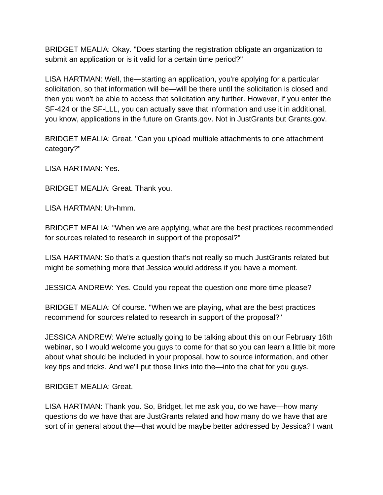BRIDGET MEALIA: Okay. "Does starting the registration obligate an organization to submit an application or is it valid for a certain time period?"

LISA HARTMAN: Well, the—starting an application, you're applying for a particular solicitation, so that information will be—will be there until the solicitation is closed and then you won't be able to access that solicitation any further. However, if you enter the SF-424 or the SF-LLL, you can actually save that information and use it in additional, you know, applications in the future on Grants.gov. Not in JustGrants but Grants.gov.

BRIDGET MEALIA: Great. "Can you upload multiple attachments to one attachment category?"

LISA HARTMAN: Yes.

BRIDGET MEALIA: Great. Thank you.

LISA HARTMAN: Uh-hmm.

BRIDGET MEALIA: "When we are applying, what are the best practices recommended for sources related to research in support of the proposal?"

LISA HARTMAN: So that's a question that's not really so much JustGrants related but might be something more that Jessica would address if you have a moment.

JESSICA ANDREW: Yes. Could you repeat the question one more time please?

BRIDGET MEALIA: Of course. "When we are playing, what are the best practices recommend for sources related to research in support of the proposal?"

JESSICA ANDREW: We're actually going to be talking about this on our February 16th webinar, so I would welcome you guys to come for that so you can learn a little bit more about what should be included in your proposal, how to source information, and other key tips and tricks. And we'll put those links into the—into the chat for you guys.

BRIDGET MEALIA: Great.

LISA HARTMAN: Thank you. So, Bridget, let me ask you, do we have—how many questions do we have that are JustGrants related and how many do we have that are sort of in general about the—that would be maybe better addressed by Jessica? I want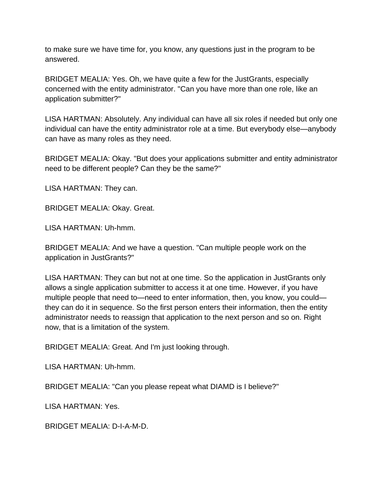to make sure we have time for, you know, any questions just in the program to be answered.

BRIDGET MEALIA: Yes. Oh, we have quite a few for the JustGrants, especially concerned with the entity administrator. "Can you have more than one role, like an application submitter?"

LISA HARTMAN: Absolutely. Any individual can have all six roles if needed but only one individual can have the entity administrator role at a time. But everybody else—anybody can have as many roles as they need.

BRIDGET MEALIA: Okay. "But does your applications submitter and entity administrator need to be different people? Can they be the same?"

LISA HARTMAN: They can.

BRIDGET MEALIA: Okay. Great.

LISA HARTMAN: Uh-hmm.

BRIDGET MEALIA: And we have a question. "Can multiple people work on the application in JustGrants?"

LISA HARTMAN: They can but not at one time. So the application in JustGrants only allows a single application submitter to access it at one time. However, if you have multiple people that need to—need to enter information, then, you know, you could they can do it in sequence. So the first person enters their information, then the entity administrator needs to reassign that application to the next person and so on. Right now, that is a limitation of the system.

BRIDGET MEALIA: Great. And I'm just looking through.

LISA HARTMAN: Uh-hmm.

BRIDGET MEALIA: "Can you please repeat what DIAMD is I believe?"

LISA HARTMAN: Yes.

BRIDGET MEALIA: D-I-A-M-D.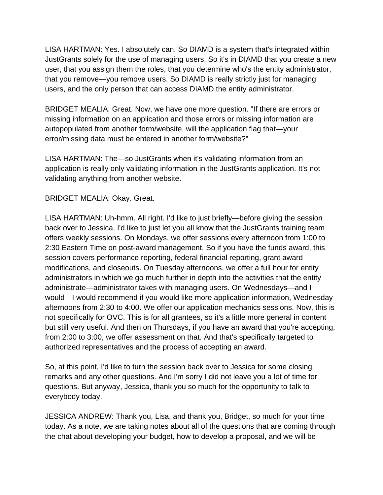LISA HARTMAN: Yes. I absolutely can. So DIAMD is a system that's integrated within JustGrants solely for the use of managing users. So it's in DIAMD that you create a new user, that you assign them the roles, that you determine who's the entity administrator, that you remove—you remove users. So DIAMD is really strictly just for managing users, and the only person that can access DIAMD the entity administrator.

BRIDGET MEALIA: Great. Now, we have one more question. "If there are errors or missing information on an application and those errors or missing information are autopopulated from another form/website, will the application flag that—your error/missing data must be entered in another form/website?"

LISA HARTMAN: The—so JustGrants when it's validating information from an application is really only validating information in the JustGrants application. It's not validating anything from another website.

## BRIDGET MEALIA: Okay. Great.

LISA HARTMAN: Uh-hmm. All right. I'd like to just briefly—before giving the session back over to Jessica, I'd like to just let you all know that the JustGrants training team offers weekly sessions. On Mondays, we offer sessions every afternoon from 1:00 to 2:30 Eastern Time on post-award management. So if you have the funds award, this session covers performance reporting, federal financial reporting, grant award modifications, and closeouts. On Tuesday afternoons, we offer a full hour for entity administrators in which we go much further in depth into the activities that the entity administrate—administrator takes with managing users. On Wednesdays—and I would—I would recommend if you would like more application information, Wednesday afternoons from 2:30 to 4:00. We offer our application mechanics sessions. Now, this is not specifically for OVC. This is for all grantees, so it's a little more general in content but still very useful. And then on Thursdays, if you have an award that you're accepting, from 2:00 to 3:00, we offer assessment on that. And that's specifically targeted to authorized representatives and the process of accepting an award.

So, at this point, I'd like to turn the session back over to Jessica for some closing remarks and any other questions. And I'm sorry I did not leave you a lot of time for questions. But anyway, Jessica, thank you so much for the opportunity to talk to everybody today.

JESSICA ANDREW: Thank you, Lisa, and thank you, Bridget, so much for your time today. As a note, we are taking notes about all of the questions that are coming through the chat about developing your budget, how to develop a proposal, and we will be